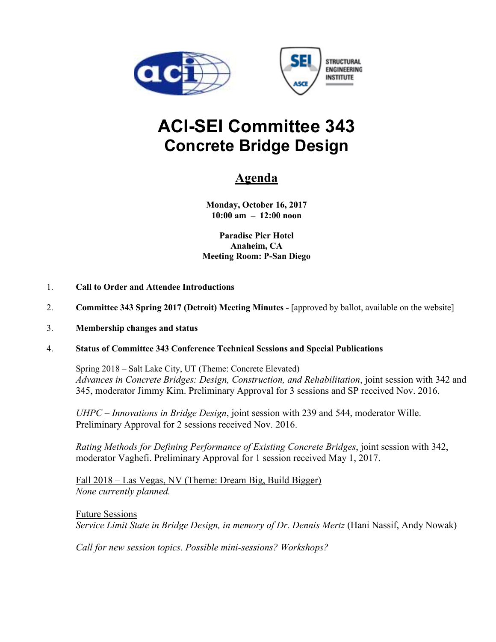



# **ACI-SEI Committee 343 Concrete Bridge Design**

# **Agenda**

**Monday, October 16, 2017 10:00 am – 12:00 noon** 

**Paradise Pier Hotel Anaheim, CA Meeting Room: P-San Diego** 

- 1. **Call to Order and Attendee Introductions**
- 2. **Committee 343 Spring 2017 (Detroit) Meeting Minutes -** [approved by ballot, available on the website]
- 3. **Membership changes and status**
- 4. **Status of Committee 343 Conference Technical Sessions and Special Publications**

Spring 2018 – Salt Lake City, UT (Theme: Concrete Elevated) *Advances in Concrete Bridges: Design, Construction, and Rehabilitation*, joint session with 342 and 345, moderator Jimmy Kim. Preliminary Approval for 3 sessions and SP received Nov. 2016.

*UHPC – Innovations in Bridge Design*, joint session with 239 and 544, moderator Wille. Preliminary Approval for 2 sessions received Nov. 2016.

*Rating Methods for Defining Performance of Existing Concrete Bridges*, joint session with 342, moderator Vaghefi. Preliminary Approval for 1 session received May 1, 2017.

Fall 2018 – Las Vegas, NV (Theme: Dream Big, Build Bigger) *None currently planned.*

Future Sessions *Service Limit State in Bridge Design, in memory of Dr. Dennis Mertz* (Hani Nassif, Andy Nowak)

*Call for new session topics. Possible mini-sessions? Workshops?*